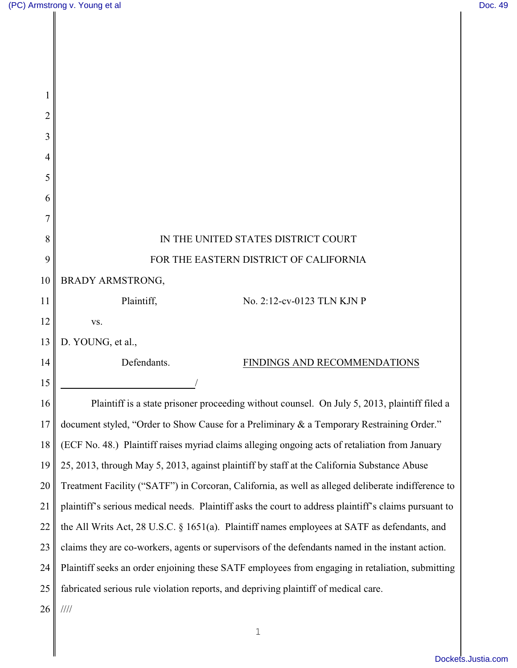Π

║

| $\overline{2}$ |                                                                                                       |
|----------------|-------------------------------------------------------------------------------------------------------|
| 3              |                                                                                                       |
| 4              |                                                                                                       |
| 5              |                                                                                                       |
| 6              |                                                                                                       |
|                |                                                                                                       |
| 8              | IN THE UNITED STATES DISTRICT COURT                                                                   |
| 9              | FOR THE EASTERN DISTRICT OF CALIFORNIA                                                                |
| 10             | BRADY ARMSTRONG,                                                                                      |
| 11             | Plaintiff,<br>No. 2:12-cv-0123 TLN KJN P                                                              |
| 12             | VS.                                                                                                   |
| 13             | D. YOUNG, et al.,                                                                                     |
| 14             | Defendants.<br>FINDINGS AND RECOMMENDATIONS                                                           |
| 15             |                                                                                                       |
| 16             | Plaintiff is a state prisoner proceeding without counsel. On July 5, 2013, plaintiff filed a          |
| 17             | document styled, "Order to Show Cause for a Preliminary & a Temporary Restraining Order."             |
| 18             | (ECF No. 48.) Plaintiff raises myriad claims alleging ongoing acts of retaliation from January        |
| 19             | 25, 2013, through May 5, 2013, against plaintiff by staff at the California Substance Abuse           |
| 20             | Treatment Facility ("SATF") in Corcoran, California, as well as alleged deliberate indifference to    |
| 21             | plaintiff's serious medical needs. Plaintiff asks the court to address plaintiff's claims pursuant to |
| 22             | the All Writs Act, 28 U.S.C. § 1651(a). Plaintiff names employees at SATF as defendants, and          |
| 23             | claims they are co-workers, agents or supervisors of the defendants named in the instant action.      |
| 24             | Plaintiff seeks an order enjoining these SATF employees from engaging in retaliation, submitting      |
| 25             | fabricated serious rule violation reports, and depriving plaintiff of medical care.                   |
| 26             | 1111                                                                                                  |
|                |                                                                                                       |

1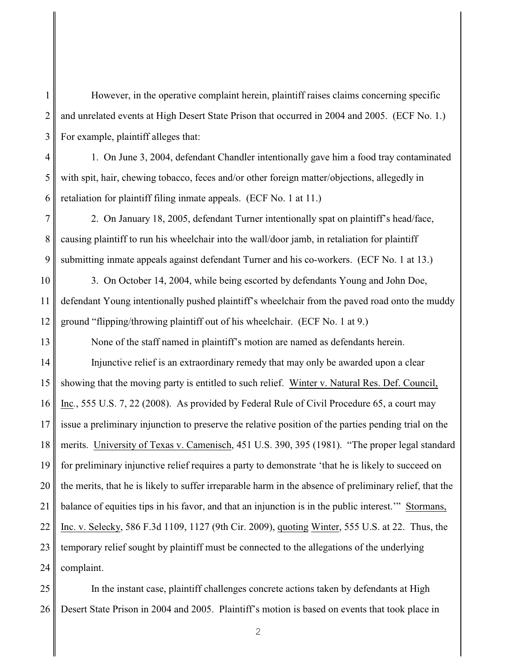However, in the operative complaint herein, plaintiff raises claims concerning specific and unrelated events at High Desert State Prison that occurred in 2004 and 2005. (ECF No. 1.) For example, plaintiff alleges that:

1. On June 3, 2004, defendant Chandler intentionally gave him a food tray contaminated with spit, hair, chewing tobacco, feces and/or other foreign matter/objections, allegedly in retaliation for plaintiff filing inmate appeals. (ECF No. 1 at 11.)

2. On January 18, 2005, defendant Turner intentionally spat on plaintiff's head/face, causing plaintiff to run his wheelchair into the wall/door jamb, in retaliation for plaintiff submitting inmate appeals against defendant Turner and his co-workers. (ECF No. 1 at 13.)

3. On October 14, 2004, while being escorted by defendants Young and John Doe, defendant Young intentionally pushed plaintiff's wheelchair from the paved road onto the muddy ground "flipping/throwing plaintiff out of his wheelchair. (ECF No. 1 at 9.)

None of the staff named in plaintiff's motion are named as defendants herein.

14 15 16 17 18 19 20 21 22 23 24 Injunctive relief is an extraordinary remedy that may only be awarded upon a clear showing that the moving party is entitled to such relief. Winter v. Natural Res. Def. Council, Inc*.*, 555 U.S. 7, 22 (2008). As provided by Federal Rule of Civil Procedure 65, a court may issue a preliminary injunction to preserve the relative position of the parties pending trial on the merits. University of Texas v. Camenisch, 451 U.S. 390, 395 (1981). "The proper legal standard for preliminary injunctive relief requires a party to demonstrate 'that he is likely to succeed on the merits, that he is likely to suffer irreparable harm in the absence of preliminary relief, that the balance of equities tips in his favor, and that an injunction is in the public interest.'" Stormans, Inc. v. Selecky, 586 F.3d 1109, 1127 (9th Cir. 2009), quoting Winter, 555 U.S. at 22. Thus, the temporary relief sought by plaintiff must be connected to the allegations of the underlying complaint.

25 26 In the instant case, plaintiff challenges concrete actions taken by defendants at High Desert State Prison in 2004 and 2005. Plaintiff's motion is based on events that took place in

1

2

3

4

5

6